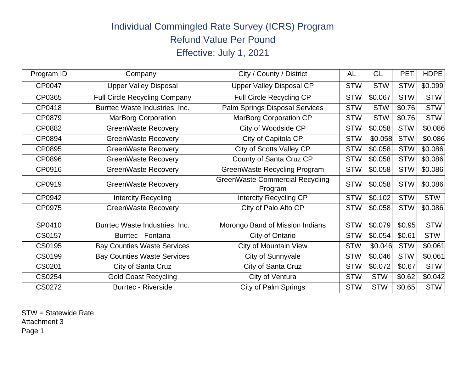| Program ID | Company                              | City / County / District                          | AL         | GL         | <b>PET</b> | <b>HDPE</b> |
|------------|--------------------------------------|---------------------------------------------------|------------|------------|------------|-------------|
| CP0047     | <b>Upper Valley Disposal</b>         | <b>Upper Valley Disposal CP</b>                   | <b>STW</b> | <b>STW</b> | <b>STW</b> | \$0.099     |
| CP0365     | <b>Full Circle Recycling Company</b> | <b>Full Circle Recycling CP</b>                   | <b>STW</b> | \$0.067    | <b>STW</b> | <b>STW</b>  |
| CP0418     | Burrtec Waste Industries, Inc.       | Palm Springs Disposal Services                    | <b>STW</b> | <b>STW</b> | \$0.76     | <b>STW</b>  |
| CP0879     | <b>MarBorg Corporation</b>           | <b>MarBorg Corporation CP</b>                     | <b>STW</b> | <b>STW</b> | \$0.76     | <b>STW</b>  |
| CP0882     | <b>GreenWaste Recovery</b>           | City of Woodside CP                               | <b>STW</b> | \$0.058    | <b>STW</b> | \$0.086     |
| CP0894     | <b>GreenWaste Recovery</b>           | City of Capitola CP                               | <b>STW</b> | \$0.058    | <b>STW</b> | \$0.086     |
| CP0895     | <b>GreenWaste Recovery</b>           | City of Scotts Valley CP                          | <b>STW</b> | \$0.058    | <b>STW</b> | \$0.086     |
| CP0896     | <b>GreenWaste Recovery</b>           | County of Santa Cruz CP                           | <b>STW</b> | \$0.058    | <b>STW</b> | \$0.086     |
| CP0916     | <b>GreenWaste Recovery</b>           | <b>GreenWaste Recycling Program</b>               | <b>STW</b> | \$0.058    | <b>STW</b> | \$0.086     |
| CP0919     | <b>GreenWaste Recovery</b>           | <b>GreenWaste Commercial Recycling</b><br>Program | <b>STW</b> | \$0.058    | <b>STW</b> | \$0.086     |
| CP0942     | <b>Intercity Recycling</b>           | <b>Intercity Recycling CP</b>                     | <b>STW</b> | \$0.102    | <b>STW</b> | <b>STW</b>  |
| CP0975     | <b>GreenWaste Recovery</b>           | City of Palo Alto CP                              | <b>STW</b> | \$0.058    | <b>STW</b> | \$0.086     |
| SP0410     | Burrtec Waste Industries, Inc.       | Morongo Band of Mission Indians                   | <b>STW</b> | \$0.079    | \$0.95     | <b>STW</b>  |
| CS0157     | Burrtec - Fontana                    | City of Ontario                                   | <b>STW</b> | \$0.054    | \$0.61     | <b>STW</b>  |
| CS0195     | <b>Bay Counties Waste Services</b>   | City of Mountain View                             | <b>STW</b> | \$0.046    | <b>STW</b> | \$0.061     |
| CS0199     | <b>Bay Counties Waste Services</b>   | City of Sunnyvale                                 | <b>STW</b> | \$0.046    | <b>STW</b> | \$0.061     |
| CS0201     | City of Santa Cruz                   | City of Santa Cruz                                | <b>STW</b> | \$0.072    | \$0.67     | <b>STW</b>  |
| CS0254     | <b>Gold Coast Recycling</b>          | City of Ventura                                   | <b>STW</b> | <b>STW</b> | \$0.62     | \$0.042     |
| CS0272     | <b>Burrtec - Riverside</b>           | <b>City of Palm Springs</b>                       | <b>STW</b> | <b>STW</b> | \$0.65     | <b>STW</b>  |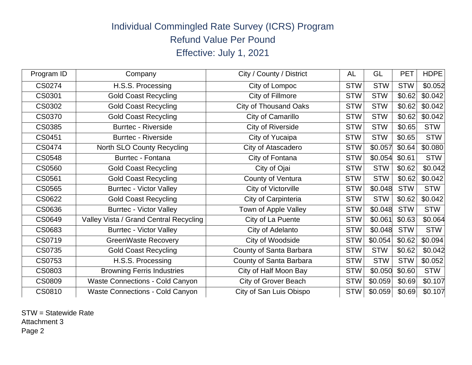| Program ID    | Company                                | City / County / District     | <b>AL</b>  | GL         | <b>PET</b> | <b>HDPE</b> |
|---------------|----------------------------------------|------------------------------|------------|------------|------------|-------------|
| CS0274        | H.S.S. Processing                      | City of Lompoc               | <b>STW</b> | <b>STW</b> | <b>STW</b> | \$0.052     |
| CS0301        | <b>Gold Coast Recycling</b>            | City of Fillmore             | <b>STW</b> | <b>STW</b> | \$0.62     | \$0.042     |
| CS0302        | <b>Gold Coast Recycling</b>            | <b>City of Thousand Oaks</b> | <b>STW</b> | <b>STW</b> | \$0.62     | \$0.042     |
| <b>CS0370</b> | <b>Gold Coast Recycling</b>            | City of Camarillo            | <b>STW</b> | <b>STW</b> | \$0.62     | \$0.042     |
| CS0385        | <b>Burrtec - Riverside</b>             | <b>City of Riverside</b>     | <b>STW</b> | <b>STW</b> | \$0.65     | <b>STW</b>  |
| CS0451        | <b>Burrtec - Riverside</b>             | City of Yucaipa              | <b>STW</b> | <b>STW</b> | \$0.65     | <b>STW</b>  |
| CS0474        | North SLO County Recycling             | City of Atascadero           | <b>STW</b> | \$0.057    | \$0.64     | \$0.080     |
| <b>CS0548</b> | Burrtec - Fontana                      | City of Fontana              | <b>STW</b> | \$0.054    | \$0.61     | <b>STW</b>  |
| <b>CS0560</b> | <b>Gold Coast Recycling</b>            | City of Ojai                 | <b>STW</b> | <b>STW</b> | \$0.62     | \$0.042     |
| CS0561        | <b>Gold Coast Recycling</b>            | County of Ventura            | <b>STW</b> | <b>STW</b> | \$0.62     | \$0.042     |
| <b>CS0565</b> | <b>Burrtec - Victor Valley</b>         | City of Victorville          | <b>STW</b> | \$0.048    | <b>STW</b> | <b>STW</b>  |
| <b>CS0622</b> | <b>Gold Coast Recycling</b>            | City of Carpinteria          | <b>STW</b> | <b>STW</b> | \$0.62     | \$0.042     |
| CS0636        | <b>Burrtec - Victor Valley</b>         | Town of Apple Valley         | <b>STW</b> | \$0.048    | <b>STW</b> | <b>STW</b>  |
| CS0649        | Valley Vista / Grand Central Recycling | City of La Puente            | <b>STW</b> | \$0.061    | \$0.63     | \$0.064     |
| CS0683        | <b>Burrtec - Victor Valley</b>         | City of Adelanto             | <b>STW</b> | \$0.048    | <b>STW</b> | <b>STW</b>  |
| CS0719        | <b>GreenWaste Recovery</b>             | City of Woodside             | <b>STW</b> | \$0.054    | \$0.62     | \$0.094     |
| CS0735        | <b>Gold Coast Recycling</b>            | County of Santa Barbara      | <b>STW</b> | <b>STW</b> | \$0.62     | \$0.042     |
| CS0753        | H.S.S. Processing                      | County of Santa Barbara      | <b>STW</b> | <b>STW</b> | <b>STW</b> | \$0.052     |
| CS0803        | <b>Browning Ferris Industries</b>      | City of Half Moon Bay        | <b>STW</b> | \$0.050    | \$0.60     | <b>STW</b>  |
| <b>CS0809</b> | <b>Waste Connections - Cold Canyon</b> | <b>City of Grover Beach</b>  | <b>STW</b> | \$0.059    | \$0.69     | \$0.107     |
| CS0810        | <b>Waste Connections - Cold Canyon</b> | City of San Luis Obispo      | <b>STW</b> | \$0.059    | \$0.69     | \$0.107     |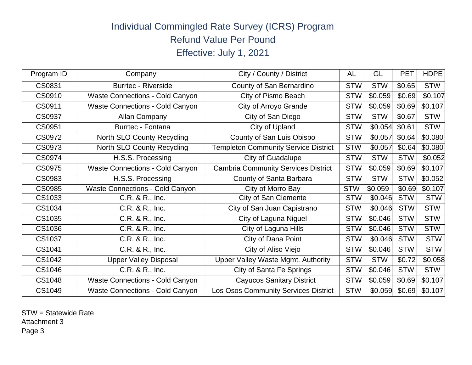| Program ID    | Company                                | City / County / District                    | <b>AL</b>  | GL         | <b>PET</b> | <b>HDPE</b> |
|---------------|----------------------------------------|---------------------------------------------|------------|------------|------------|-------------|
| CS0831        | <b>Burrtec - Riverside</b>             | County of San Bernardino                    | <b>STW</b> | <b>STW</b> | \$0.65     | <b>STW</b>  |
| CS0910        | <b>Waste Connections - Cold Canyon</b> | City of Pismo Beach                         | <b>STW</b> | \$0.059    | \$0.69     | \$0.107     |
| CS0911        | <b>Waste Connections - Cold Canyon</b> | City of Arroyo Grande                       | <b>STW</b> | \$0.059    | \$0.69     | \$0.107     |
| CS0937        | Allan Company                          | City of San Diego                           | <b>STW</b> | <b>STW</b> | \$0.67     | <b>STW</b>  |
| CS0951        | Burrtec - Fontana                      | City of Upland                              | <b>STW</b> | \$0.054    | \$0.61     | <b>STW</b>  |
| CS0972        | North SLO County Recycling             | County of San Luis Obispo                   | <b>STW</b> | \$0.057    | \$0.64     | \$0.080     |
| CS0973        | North SLO County Recycling             | <b>Templeton Community Service District</b> | <b>STW</b> | \$0.057    | \$0.64     | \$0.080     |
| CS0974        | H.S.S. Processing                      | City of Guadalupe                           | <b>STW</b> | <b>STW</b> | <b>STW</b> | \$0.052     |
| CS0975        | <b>Waste Connections - Cold Canyon</b> | <b>Cambria Community Services District</b>  | <b>STW</b> | \$0.059    | \$0.69     | \$0.107     |
| CS0983        | H.S.S. Processing                      | County of Santa Barbara                     | <b>STW</b> | <b>STW</b> | <b>STW</b> | \$0.052     |
| <b>CS0985</b> | <b>Waste Connections - Cold Canyon</b> | City of Morro Bay                           | <b>STW</b> | \$0.059    | \$0.69     | \$0.107     |
| CS1033        | C.R. & R., Inc.                        | City of San Clemente                        | <b>STW</b> | \$0.046    | <b>STW</b> | <b>STW</b>  |
| CS1034        | C.R. & R., Inc.                        | City of San Juan Capistrano                 | <b>STW</b> | \$0.046    | <b>STW</b> | <b>STW</b>  |
| CS1035        | C.R. & R., Inc.                        | City of Laguna Niguel                       | <b>STW</b> | \$0.046    | <b>STW</b> | <b>STW</b>  |
| CS1036        | C.R. & R., Inc.                        | City of Laguna Hills                        | <b>STW</b> | \$0.046    | <b>STW</b> | <b>STW</b>  |
| CS1037        | C.R. & R., Inc.                        | City of Dana Point                          | <b>STW</b> | \$0.046    | <b>STW</b> | <b>STW</b>  |
| CS1041        | C.R. & R., Inc.                        | City of Aliso Viejo                         | <b>STW</b> | \$0.046    | <b>STW</b> | <b>STW</b>  |
| CS1042        | <b>Upper Valley Disposal</b>           | <b>Upper Valley Waste Mgmt. Authority</b>   | <b>STW</b> | <b>STW</b> | \$0.72     | \$0.058     |
| CS1046        | C.R. & R., Inc.                        | <b>City of Santa Fe Springs</b>             | <b>STW</b> | \$0.046    | <b>STW</b> | <b>STW</b>  |
| CS1048        | <b>Waste Connections - Cold Canyon</b> | <b>Cayucos Sanitary District</b>            | <b>STW</b> | \$0.059    | \$0.69     | \$0.107     |
| CS1049        | <b>Waste Connections - Cold Canyon</b> | Los Osos Community Services District        | <b>STW</b> | \$0.059    | \$0.69     | \$0.107     |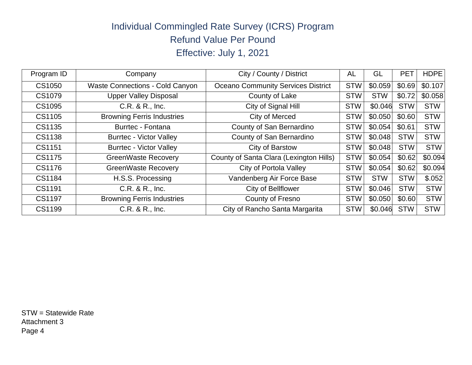| Program ID | Company                                | City / County / District                  | AL         | GL         | <b>PET</b> | <b>HDPE</b> |
|------------|----------------------------------------|-------------------------------------------|------------|------------|------------|-------------|
| CS1050     | <b>Waste Connections - Cold Canyon</b> | <b>Oceano Community Services District</b> | <b>STW</b> | \$0.059    | \$0.69     | \$0.107     |
| CS1079     | <b>Upper Valley Disposal</b>           | County of Lake                            | <b>STW</b> | <b>STW</b> | \$0.72     | \$0.058     |
| CS1095     | C.R. & R., Inc.                        | City of Signal Hill                       | <b>STW</b> | \$0.046    | <b>STW</b> | <b>STW</b>  |
| CS1105     | <b>Browning Ferris Industries</b>      | City of Merced                            | <b>STW</b> | \$0.050    | \$0.60     | <b>STW</b>  |
| CS1135     | Burrtec - Fontana                      | County of San Bernardino                  | <b>STW</b> | \$0.054    | \$0.61     | <b>STW</b>  |
| CS1138     | <b>Burrtec - Victor Valley</b>         | County of San Bernardino                  | <b>STW</b> | \$0.048    | <b>STW</b> | <b>STW</b>  |
| CS1151     | <b>Burrtec - Victor Valley</b>         | City of Barstow                           | <b>STW</b> | \$0.048    | <b>STW</b> | <b>STW</b>  |
| CS1175     | <b>GreenWaste Recovery</b>             | County of Santa Clara (Lexington Hills)   | <b>STW</b> | \$0.054    | \$0.62     | \$0.094     |
| CS1176     | <b>GreenWaste Recovery</b>             | <b>City of Portola Valley</b>             | <b>STW</b> | \$0.054    | \$0.62     | \$0.094     |
| CS1184     | H.S.S. Processing                      | Vandenberg Air Force Base                 | <b>STW</b> | <b>STW</b> | <b>STW</b> | \$.052      |
| CS1191     | C.R. & R., Inc.                        | City of Bellflower                        | <b>STW</b> | \$0.046    | <b>STW</b> | <b>STW</b>  |
| CS1197     | <b>Browning Ferris Industries</b>      | County of Fresno                          | <b>STW</b> | \$0.050    | \$0.60     | <b>STW</b>  |
| CS1199     | C.R. & R., Inc.                        | City of Rancho Santa Margarita            | <b>STW</b> | \$0.046    | <b>STW</b> | <b>STW</b>  |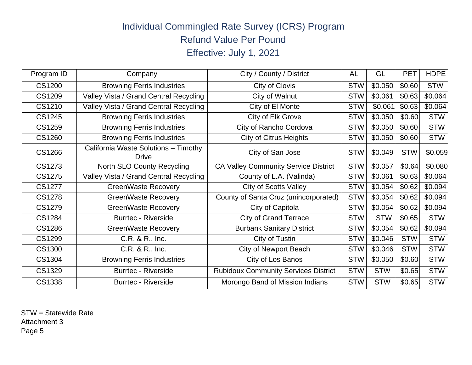| Program ID    | Company                                              | City / County / District                    | <b>AL</b>  | GL         | <b>PET</b> | <b>HDPE</b> |
|---------------|------------------------------------------------------|---------------------------------------------|------------|------------|------------|-------------|
| CS1200        | <b>Browning Ferris Industries</b>                    | City of Clovis                              | <b>STW</b> | \$0.050    | \$0.60     | <b>STW</b>  |
| CS1209        | Valley Vista / Grand Central Recycling               | City of Walnut                              | <b>STW</b> | \$0.061    | \$0.63     | \$0.064     |
| CS1210        | Valley Vista / Grand Central Recycling               | City of El Monte                            | <b>STW</b> | \$0.061    | \$0.63     | \$0.064     |
| CS1245        | <b>Browning Ferris Industries</b>                    | City of Elk Grove                           | <b>STW</b> | \$0.050    | \$0.60     | <b>STW</b>  |
| CS1259        | <b>Browning Ferris Industries</b>                    | City of Rancho Cordova                      | <b>STW</b> | \$0.050    | \$0.60     | <b>STW</b>  |
| CS1260        | <b>Browning Ferris Industries</b>                    | <b>City of Citrus Heights</b>               | <b>STW</b> | \$0.050    | \$0.60     | <b>STW</b>  |
| CS1266        | California Waste Solutions - Timothy<br><b>Drive</b> | City of San Jose                            | <b>STW</b> | \$0.049    | <b>STW</b> | \$0.059     |
| CS1273        | North SLO County Recycling                           | <b>CA Valley Community Service District</b> | <b>STW</b> | \$0.057    | \$0.64     | \$0.080     |
| CS1275        | Valley Vista / Grand Central Recycling               | County of L.A. (Valinda)                    | <b>STW</b> | \$0.061    | \$0.63     | \$0.064     |
| CS1277        | <b>GreenWaste Recovery</b>                           | <b>City of Scotts Valley</b>                | <b>STW</b> | \$0.054    | \$0.62     | \$0.094     |
| <b>CS1278</b> | <b>GreenWaste Recovery</b>                           | County of Santa Cruz (unincorporated)       | <b>STW</b> | \$0.054    | \$0.62     | \$0.094     |
| CS1279        | <b>GreenWaste Recovery</b>                           | City of Capitola                            | <b>STW</b> | \$0.054    | \$0.62     | \$0.094     |
| CS1284        | <b>Burrtec - Riverside</b>                           | <b>City of Grand Terrace</b>                | <b>STW</b> | <b>STW</b> | \$0.65     | <b>STW</b>  |
| CS1286        | <b>GreenWaste Recovery</b>                           | <b>Burbank Sanitary District</b>            | <b>STW</b> | \$0.054    | \$0.62     | \$0.094     |
| CS1299        | C.R. & R., Inc.                                      | City of Tustin                              | <b>STW</b> | \$0.046    | <b>STW</b> | <b>STW</b>  |
| CS1300        | C.R. & R., Inc.                                      | <b>City of Newport Beach</b>                | <b>STW</b> | \$0.046    | <b>STW</b> | <b>STW</b>  |
| CS1304        | <b>Browning Ferris Industries</b>                    | City of Los Banos                           | <b>STW</b> | \$0.050    | \$0.60     | <b>STW</b>  |
| CS1329        | <b>Burrtec - Riverside</b>                           | <b>Rubidoux Community Services District</b> | <b>STW</b> | <b>STW</b> | \$0.65     | <b>STW</b>  |
| CS1338        | <b>Burrtec - Riverside</b>                           | Morongo Band of Mission Indians             | <b>STW</b> | <b>STW</b> | \$0.65     | <b>STW</b>  |